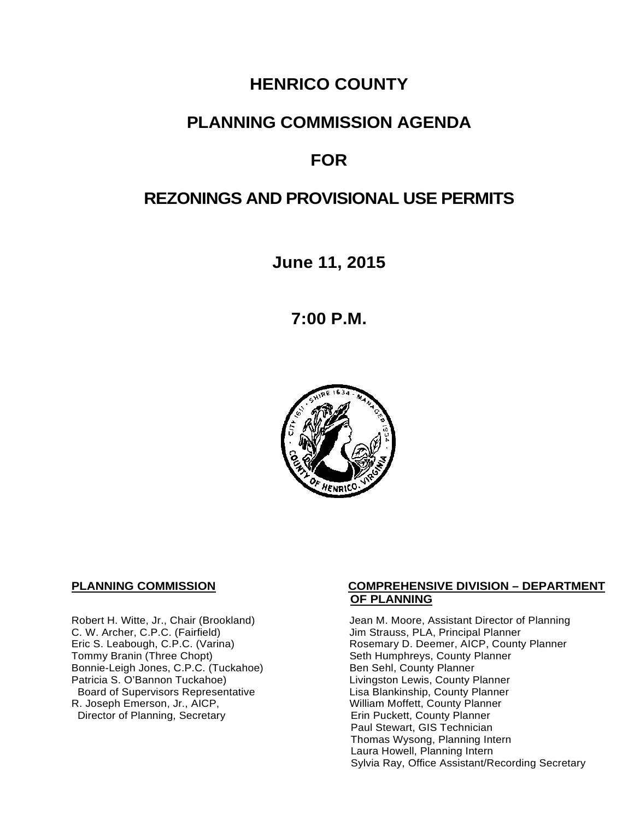# **HENRICO COUNTY**

## **PLANNING COMMISSION AGENDA**

# **FOR**

# **REZONINGS AND PROVISIONAL USE PERMITS**

**June 11, 2015**

**7:00 P.M.**



C. W. Archer, C.P.C. (Fairfield) and Summan Jim Strauss, PLA, Principal Planner<br>
Eric S. Leabough, C.P.C. (Varina) and Summan Rosemary D. Deemer, AICP, County Bonnie-Leigh Jones, C.P.C. (Tuckahoe)<br>Patricia S. O'Bannon Tuckahoe) Board of Supervisors Representative Fig. 2016 Lisa Blankinship, County Planner<br>Lisa Blankinship, County Planner (2008) Lisa Mortett, County Planner (2008) R. Joseph Emerson, Jr., AICP, William Moffett, County Planner<br>Director of Planning, Secretary **Network County Planner** Director of Planning, Secretary

#### **PLANNING COMMISSION COMPREHENSIVE DIVISION – DEPARTMENT OF PLANNING**

Robert H. Witte, Jr., Chair (Brookland) Jean M. Moore, Assistant Director of Planning<br>C. W. Archer, C.P.C. (Fairfield) Jim Strauss, PLA, Principal Planner Eric S. Leabough, C.P.C. (Varina) <br>Tommy Branin (Three Chopt) **Reading State State Seth Humphreys, County Planner** Commy Planner Seth Humphreys, County Planner<br>Ben Sehl, County Planner Livingston Lewis, County Planner Paul Stewart, GIS Technician Thomas Wysong, Planning Intern Laura Howell, Planning Intern Sylvia Ray, Office Assistant/Recording Secretary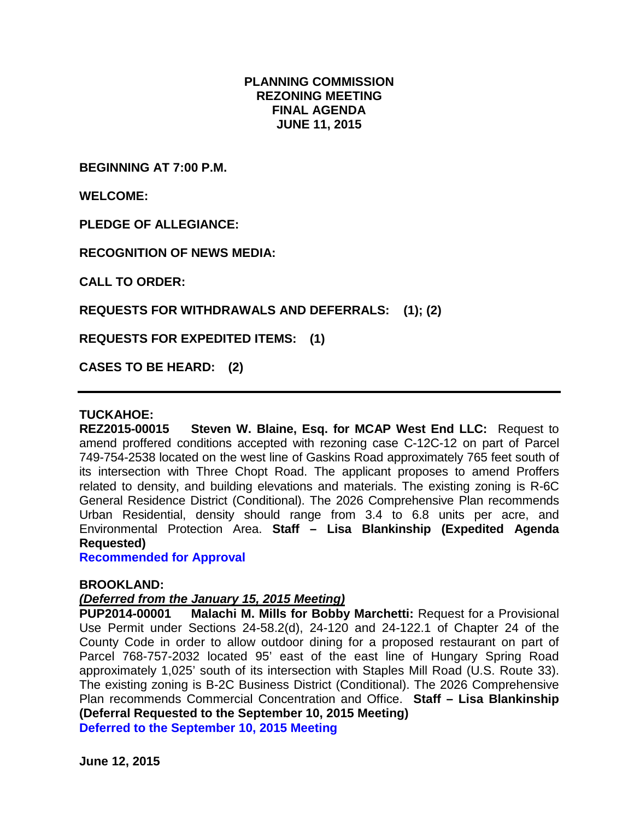#### **PLANNING COMMISSION REZONING MEETING FINAL AGENDA JUNE 11, 2015**

**BEGINNING AT 7:00 P.M.**

**WELCOME:**

**PLEDGE OF ALLEGIANCE:**

**RECOGNITION OF NEWS MEDIA:**

**CALL TO ORDER:**

**REQUESTS FOR WITHDRAWALS AND DEFERRALS: (1); (2)**

**REQUESTS FOR EXPEDITED ITEMS: (1)**

**CASES TO BE HEARD: (2)**

#### **TUCKAHOE:**

**REZ2015-00015 Steven W. Blaine, Esq. for MCAP West End LLC:** Request to amend proffered conditions accepted with rezoning case C-12C-12 on part of Parcel 749-754-2538 located on the west line of Gaskins Road approximately 765 feet south of its intersection with Three Chopt Road. The applicant proposes to amend Proffers related to density, and building elevations and materials. The existing zoning is R-6C General Residence District (Conditional). The 2026 Comprehensive Plan recommends Urban Residential, density should range from 3.4 to 6.8 units per acre, and Environmental Protection Area. **Staff – Lisa Blankinship (Expedited Agenda Requested)**

**Recommended for Approval**

#### **BROOKLAND:**

#### *(Deferred from the January 15, 2015 Meeting)*

**PUP2014-00001 Malachi M. Mills for Bobby Marchetti:** Request for a Provisional Use Permit under Sections 24-58.2(d), 24-120 and 24-122.1 of Chapter 24 of the County Code in order to allow outdoor dining for a proposed restaurant on part of Parcel 768-757-2032 located 95' east of the east line of Hungary Spring Road approximately 1,025' south of its intersection with Staples Mill Road (U.S. Route 33). The existing zoning is B-2C Business District (Conditional). The 2026 Comprehensive Plan recommends Commercial Concentration and Office. **Staff – Lisa Blankinship (Deferral Requested to the September 10, 2015 Meeting) Deferred to the September 10, 2015 Meeting**

**June 12, 2015**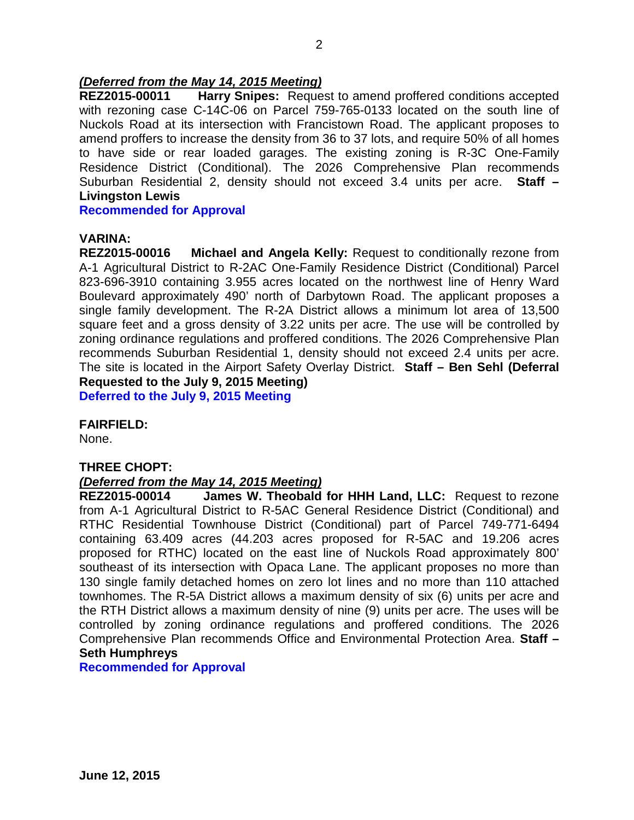# *(Deferred from the May 14, 2015 Meeting)*

**Harry Snipes:** Request to amend proffered conditions accepted with rezoning case C-14C-06 on Parcel 759-765-0133 located on the south line of Nuckols Road at its intersection with Francistown Road. The applicant proposes to amend proffers to increase the density from 36 to 37 lots, and require 50% of all homes to have side or rear loaded garages. The existing zoning is R-3C One-Family Residence District (Conditional). The 2026 Comprehensive Plan recommends Suburban Residential 2, density should not exceed 3.4 units per acre. **Staff – Livingston Lewis**

**Recommended for Approval**

#### **VARINA:**

**REZ2015-00016 Michael and Angela Kelly:** Request to conditionally rezone from A-1 Agricultural District to R-2AC One-Family Residence District (Conditional) Parcel 823-696-3910 containing 3.955 acres located on the northwest line of Henry Ward Boulevard approximately 490' north of Darbytown Road. The applicant proposes a single family development. The R-2A District allows a minimum lot area of 13,500 square feet and a gross density of 3.22 units per acre. The use will be controlled by zoning ordinance regulations and proffered conditions. The 2026 Comprehensive Plan recommends Suburban Residential 1, density should not exceed 2.4 units per acre. The site is located in the Airport Safety Overlay District. **Staff – Ben Sehl (Deferral Requested to the July 9, 2015 Meeting)**

**Deferred to the July 9, 2015 Meeting**

#### **FAIRFIELD:**

None.

#### **THREE CHOPT:**

#### *(Deferred from the May 14, 2015 Meeting)*

**REZ2015-00014 James W. Theobald for HHH Land, LLC:** Request to rezone from A-1 Agricultural District to R-5AC General Residence District (Conditional) and RTHC Residential Townhouse District (Conditional) part of Parcel 749-771-6494 containing 63.409 acres (44.203 acres proposed for R-5AC and 19.206 acres proposed for RTHC) located on the east line of Nuckols Road approximately 800' southeast of its intersection with Opaca Lane. The applicant proposes no more than 130 single family detached homes on zero lot lines and no more than 110 attached townhomes. The R-5A District allows a maximum density of six (6) units per acre and the RTH District allows a maximum density of nine (9) units per acre. The uses will be controlled by zoning ordinance regulations and proffered conditions. The 2026 Comprehensive Plan recommends Office and Environmental Protection Area. **Staff – Seth Humphreys** 

**Recommended for Approval**